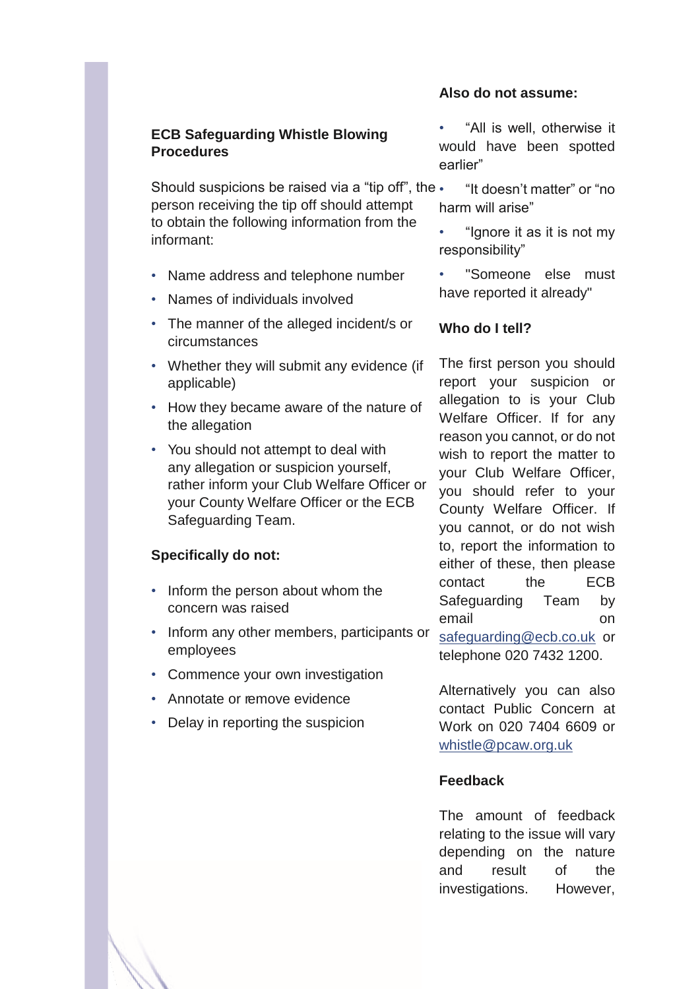# **ECB Safeguarding Whistle Blowing Procedures**

Should suspicions be raised via a "tip off", the  $\cdot$ person receiving the tip off should attempt to obtain the following information from the informant:

- Name address and telephone number
- Names of individuals involved
- The manner of the alleged incident/s or circumstances
- Whether they will submit any evidence (if applicable)
- How they became aware of the nature of the allegation
- You should not attempt to deal with any allegation or suspicion yourself, rather inform your Club Welfare Officer or your County Welfare Officer or the ECB Safeguarding Team.

### **Specifically do not:**

- Inform the person about whom the concern was raised
- Inform any other members, participants or employees
- Commence your own investigation
- Annotate or remove evidence
- Delay in reporting the suspicion

#### **Also do not assume:**

• "All is well, otherwise it would have been spotted earlier"

- "It doesn't matter" or "no harm will arise"
- "Ignore it as it is not my responsibility"

• "Someone else must have reported it already"

### **Who do I tell?**

The first person you should report your suspicion or allegation to is your Club Welfare Officer. If for any reason you cannot, or do not wish to report the matter to your Club Welfare Officer, you should refer to your County Welfare Officer. If you cannot, or do not wish to, report the information to either of these, then please contact the ECB Safeguarding Team by email on safeguarding@ecb.co.uk or telephone 020 7432 1200.

Alternatively you can also contact Public Concern at Work on 020 7404 6609 or whistle@pcaw.org.uk

# **Feedback**

The amount of feedback relating to the issue will vary depending on the nature and result of the investigations. However,